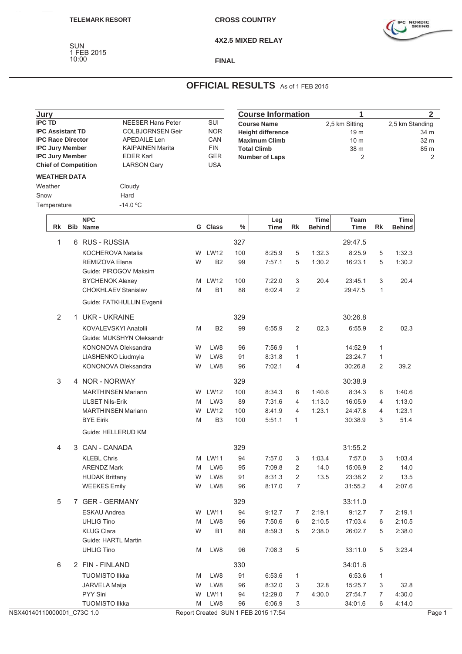SUN 1 FEB 2015



**4X2.5 MIXED RELAY**

## 10:00 **FINAL**

## **OFFICIAL RESULTS** As of 1 FEB 2015

| Jury<br><b>IPC TD</b><br><b>IPC Assistant TD</b>                                                                                                                     |             |                                                                                                                                          |                                                     |                                                                    |                                                                                                                       |                |      | <b>Course Information</b>                     |                                                                   |               | 1               |                                        |               | 2 <sup>1</sup> |
|----------------------------------------------------------------------------------------------------------------------------------------------------------------------|-------------|------------------------------------------------------------------------------------------------------------------------------------------|-----------------------------------------------------|--------------------------------------------------------------------|-----------------------------------------------------------------------------------------------------------------------|----------------|------|-----------------------------------------------|-------------------------------------------------------------------|---------------|-----------------|----------------------------------------|---------------|----------------|
| <b>IPC Race Director</b><br><b>IPC Jury Member</b><br><b>IPC Jury Member</b><br><b>Chief of Competition</b><br><b>WEATHER DATA</b><br>Weather<br>Snow<br>Temperature |             | <b>NEESER Hans Peter</b><br><b>COLBJORNSEN Geir</b><br>APEDAILE Len<br><b>KAIPAINEN Marita</b><br><b>EDER Karl</b><br><b>LARSON Gary</b> |                                                     | SUI<br><b>NOR</b><br>CAN<br><b>FIN</b><br><b>GER</b><br><b>USA</b> | <b>Course Name</b><br><b>Height difference</b><br><b>Maximum Climb</b><br><b>Total Climb</b><br><b>Number of Laps</b> |                |      |                                               | 2,5 km Sitting<br>19 <sub>m</sub><br>10 <sub>m</sub><br>38 m<br>2 |               | 2,5 km Standing | 34 m<br>32 m<br>85 m<br>$\overline{2}$ |               |                |
|                                                                                                                                                                      |             |                                                                                                                                          |                                                     | Cloudy<br>Hard<br>$-14.0 °C$                                       |                                                                                                                       |                |      |                                               |                                                                   |               |                 |                                        |               |                |
|                                                                                                                                                                      |             |                                                                                                                                          | <b>NPC</b>                                          |                                                                    |                                                                                                                       |                |      | Leg                                           |                                                                   | <b>Time</b>   | Team            |                                        | <b>Time</b>   |                |
|                                                                                                                                                                      |             |                                                                                                                                          | Rk Bib Name                                         |                                                                    |                                                                                                                       | G Class        | $\%$ | <b>Time</b>                                   | Rk                                                                | <b>Behind</b> | Time            | Rk                                     | <b>Behind</b> |                |
|                                                                                                                                                                      | $\mathbf 1$ |                                                                                                                                          | 6 RUS - RUSSIA                                      |                                                                    |                                                                                                                       |                | 327  |                                               |                                                                   |               | 29:47.5         |                                        |               |                |
|                                                                                                                                                                      |             |                                                                                                                                          | KOCHEROVA Natalia                                   |                                                                    |                                                                                                                       | W LW12         | 100  | 8:25.9                                        | 5                                                                 | 1:32.3        | 8:25.9          | 5                                      | 1:32.3        |                |
|                                                                                                                                                                      |             |                                                                                                                                          | REMIZOVA Elena                                      | Guide: PIROGOV Maksim                                              | W                                                                                                                     | B <sub>2</sub> | 99   | 7:57.1                                        | 5                                                                 | 1:30.2        | 16:23.1         | 5                                      | 1:30.2        |                |
|                                                                                                                                                                      |             |                                                                                                                                          | <b>BYCHENOK Alexey</b>                              |                                                                    |                                                                                                                       | M LW12         | 100  | 7:22.0                                        | 3                                                                 | 20.4          | 23:45.1         | 3                                      | 20.4          |                |
|                                                                                                                                                                      |             |                                                                                                                                          |                                                     | CHOKHLAEV Stanislav                                                | M                                                                                                                     | B <sub>1</sub> | 88   | 6:02.4                                        | 2                                                                 |               | 29:47.5         | $\overline{1}$                         |               |                |
|                                                                                                                                                                      | 2           |                                                                                                                                          | <b>UKR - UKRAINE</b>                                | Guide: FATKHULLIN Evgenii                                          |                                                                                                                       |                | 329  |                                               |                                                                   |               | 30:26.8         |                                        |               |                |
|                                                                                                                                                                      |             |                                                                                                                                          |                                                     | KOVALEVSKYI Anatolii                                               | M                                                                                                                     | B <sub>2</sub> | 99   | 6:55.9                                        |                                                                   | 02.3          | 6:55.9          | 2                                      | 02.3          |                |
|                                                                                                                                                                      |             |                                                                                                                                          |                                                     | Guide: MUKSHYN Oleksandr                                           |                                                                                                                       |                |      |                                               | $\overline{2}$                                                    |               |                 |                                        |               |                |
|                                                                                                                                                                      |             |                                                                                                                                          |                                                     | KONONOVA Oleksandra                                                | W                                                                                                                     | LW8            | 96   | 7:56.9                                        | 1                                                                 |               | 14:52.9         | $\mathbf{1}$                           |               |                |
|                                                                                                                                                                      |             |                                                                                                                                          |                                                     | LIASHENKO Liudmyla                                                 | W                                                                                                                     | LW8            | 91   | 8:31.8                                        | $\mathbf{1}$                                                      |               | 23:24.7         | $\mathbf{1}$                           |               |                |
|                                                                                                                                                                      |             |                                                                                                                                          |                                                     | KONONOVA Oleksandra                                                | W                                                                                                                     | LW8            | 96   | 7:02.1                                        | 4                                                                 |               | 30:26.8         | $\overline{2}$                         | 39.2          |                |
|                                                                                                                                                                      | 3           |                                                                                                                                          | 4 NOR - NORWAY                                      |                                                                    |                                                                                                                       |                | 329  |                                               |                                                                   |               | 30:38.9         |                                        |               |                |
|                                                                                                                                                                      |             |                                                                                                                                          |                                                     | <b>MARTHINSEN Mariann</b>                                          |                                                                                                                       | W LW12         | 100  | 8:34.3                                        | 6                                                                 | 1:40.6        | 8:34.3          | 6                                      | 1:40.6        |                |
|                                                                                                                                                                      |             |                                                                                                                                          | <b>ULSET Nils-Erik</b>                              |                                                                    | M                                                                                                                     | LW3            | 89   | 7:31.6                                        | $\overline{4}$                                                    | 1:13.0        | 16:05.9         | $\overline{4}$                         | 1:13.0        |                |
|                                                                                                                                                                      |             |                                                                                                                                          |                                                     | <b>MARTHINSEN Mariann</b>                                          |                                                                                                                       | W LW12         | 100  | 8:41.9                                        | $\overline{4}$                                                    | 1:23.1        | 24:47.8         | $\overline{4}$                         | 1:23.1        |                |
|                                                                                                                                                                      |             |                                                                                                                                          | <b>BYE Eirik</b>                                    |                                                                    | M                                                                                                                     | B <sub>3</sub> | 100  | 5:51.1                                        | $\mathbf{1}$                                                      |               | 30:38.9         | 3                                      | 51.4          |                |
|                                                                                                                                                                      |             |                                                                                                                                          |                                                     | Guide: HELLERUD KM                                                 |                                                                                                                       |                |      |                                               |                                                                   |               |                 |                                        |               |                |
|                                                                                                                                                                      | 4           |                                                                                                                                          | 3 CAN - CANADA                                      |                                                                    |                                                                                                                       |                | 329  |                                               |                                                                   |               | 31:55.2         |                                        |               |                |
|                                                                                                                                                                      |             |                                                                                                                                          | <b>KLEBL Chris</b>                                  |                                                                    |                                                                                                                       | M LW11         | 94   | 7:57.0                                        | 3                                                                 | 1:03.4        | 7:57.0          | 3                                      | 1:03.4        |                |
|                                                                                                                                                                      |             |                                                                                                                                          | <b>ARENDZ Mark</b>                                  |                                                                    | M                                                                                                                     | LW6            | 95   | 7:09.8                                        | $\overline{a}$                                                    | 14.0          | 15:06.9         | $\overline{2}$                         | 14.0          |                |
|                                                                                                                                                                      |             |                                                                                                                                          | <b>HUDAK Brittany</b>                               |                                                                    | W                                                                                                                     | LW8            | 91   | 8:31.3                                        | $\overline{c}$                                                    | 13.5          | 23:38.2         | $\overline{2}$                         | 13.5          |                |
|                                                                                                                                                                      |             |                                                                                                                                          | <b>WEEKES Emily</b>                                 |                                                                    | W                                                                                                                     | LW8            | 96   | 8:17.0                                        | $\overline{7}$                                                    |               | 31:55.2         | 4                                      | 2:07.6        |                |
|                                                                                                                                                                      | 5           |                                                                                                                                          | 7 GER - GERMANY                                     |                                                                    |                                                                                                                       |                | 329  |                                               |                                                                   |               | 33:11.0         |                                        |               |                |
|                                                                                                                                                                      |             |                                                                                                                                          | ESKAU Andrea                                        |                                                                    |                                                                                                                       | W LW11         | 94   | 9:12.7                                        | 7                                                                 | 2:19.1        | 9:12.7          | 7                                      | 2:19.1        |                |
|                                                                                                                                                                      |             |                                                                                                                                          | <b>UHLIG Tino</b>                                   |                                                                    | M                                                                                                                     | LW8            | 96   | 7:50.6                                        | 6                                                                 | 2:10.5        | 17:03.4         | 6                                      | 2:10.5        |                |
|                                                                                                                                                                      |             |                                                                                                                                          | <b>KLUG Clara</b>                                   |                                                                    | W                                                                                                                     | B <sub>1</sub> | 88   | 8:59.3                                        | 5                                                                 | 2:38.0        | 26:02.7         | 5                                      | 2:38.0        |                |
|                                                                                                                                                                      |             |                                                                                                                                          | Guide: HARTL Martin                                 |                                                                    |                                                                                                                       |                |      |                                               |                                                                   |               |                 |                                        |               |                |
|                                                                                                                                                                      |             |                                                                                                                                          | <b>UHLIG Tino</b>                                   |                                                                    | M                                                                                                                     | LW8            | 96   | 7:08.3                                        | $\mathbf 5$                                                       |               | 33:11.0         | 5                                      | 3:23.4        |                |
|                                                                                                                                                                      | 6           |                                                                                                                                          | 2 FIN - FINLAND                                     |                                                                    |                                                                                                                       |                | 330  |                                               |                                                                   |               | 34:01.6         |                                        |               |                |
|                                                                                                                                                                      |             |                                                                                                                                          | <b>TUOMISTO IIkka</b>                               |                                                                    | M                                                                                                                     | LW8            | 91   | 6:53.6                                        | $\mathbf{1}$                                                      |               | 6:53.6          | $\mathbf{1}$                           |               |                |
|                                                                                                                                                                      |             |                                                                                                                                          | JARVELA Maija                                       |                                                                    | W                                                                                                                     | LW8            | 96   | 8:32.0                                        | 3                                                                 | 32.8          | 15:25.7         | 3                                      | 32.8          |                |
|                                                                                                                                                                      |             |                                                                                                                                          | PYY Sini                                            |                                                                    | W                                                                                                                     | <b>LW11</b>    | 94   | 12:29.0                                       | $\overline{7}$                                                    | 4:30.0        | 27:54.7         | 7                                      | 4:30.0        |                |
|                                                                                                                                                                      |             |                                                                                                                                          | <b>TUOMISTO IIkka</b><br>NSX40140110000001_C73C 1.0 |                                                                    | M                                                                                                                     | LW8            | 96   | 6:06.9<br>Report Created SUN 1 FEB 2015 17:54 | 3                                                                 |               | 34:01.6         | 6                                      | 4:14.0        | Page 1         |
|                                                                                                                                                                      |             |                                                                                                                                          |                                                     |                                                                    |                                                                                                                       |                |      |                                               |                                                                   |               |                 |                                        |               |                |